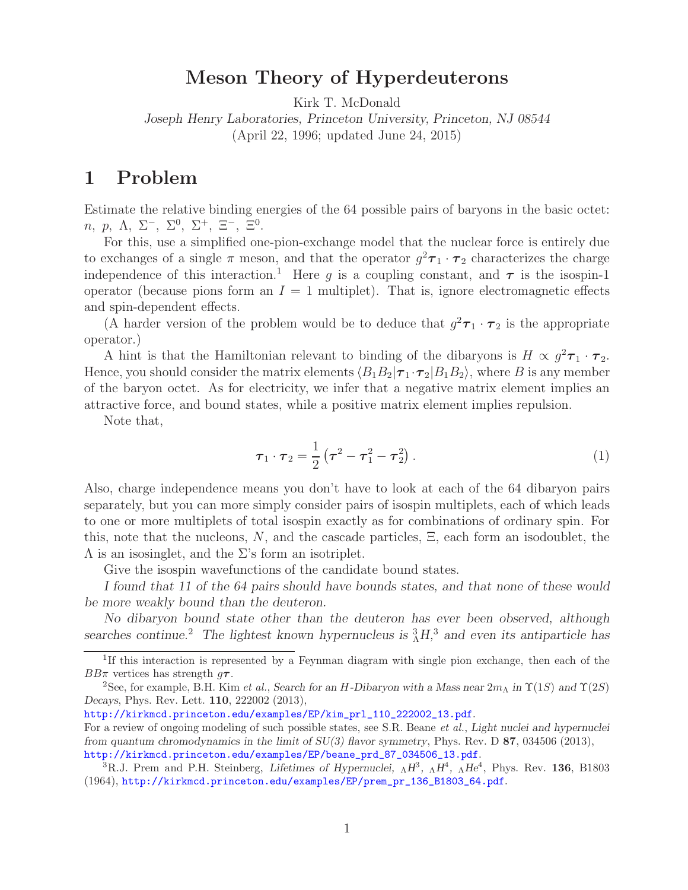## **Meson Theory of Hyperdeuterons**

Kirk T. McDonald

*Joseph Henry Laboratories, Princeton University, Princeton, NJ 08544* (April 22, 1996; updated June 24, 2015)

## **1 Problem**

Estimate the relative binding energies of the 64 possible pairs of baryons in the basic octet: *n*, *p*, Λ, Σ<sup>−</sup>, Σ<sup>0</sup>, Σ<sup>+</sup>, Ξ<sup>−</sup>, Ξ<sup>0</sup>.

For this, use a simplified one-pion-exchange model that the nuclear force is entirely due to exchanges of a single  $\pi$  meson, and that the operator  $g^2\tau_1 \cdot \tau_2$  characterizes the charge independence of this interaction.<sup>1</sup> Here g is a coupling constant, and  $\tau$  is the isospin-1 operator (because pions form an  $I = 1$  multiplet). That is, ignore electromagnetic effects and spin-dependent effects.

(A harder version of the problem would be to deduce that  $g^2\tau_1 \cdot \tau_2$  is the appropriate operator.)

A hint is that the Hamiltonian relevant to binding of the dibaryons is  $H \propto g^2 \tau_1 \cdot \tau_2$ . Hence, you should consider the matrix elements  $\langle B_1 B_2 | \tau_1 \cdot \tau_2 | B_1 B_2 \rangle$ , where B is any member of the baryon octet. As for electricity, we infer that a negative matrix element implies an attractive force, and bound states, while a positive matrix element implies repulsion.

Note that,

$$
\tau_1 \cdot \tau_2 = \frac{1}{2} \left( \tau^2 - \tau_1^2 - \tau_2^2 \right).
$$
 (1)

Also, charge independence means you don't have to look at each of the 64 dibaryon pairs separately, but you can more simply consider pairs of isospin multiplets, each of which leads to one or more multiplets of total isospin exactly as for combinations of ordinary spin. For this, note that the nucleons,  $N$ , and the cascade particles,  $\Xi$ , each form an isodoublet, the  $\Lambda$  is an isosinglet, and the  $\Sigma$ 's form an isotriplet.

Give the isospin wavefunctions of the candidate bound states.

*I found that 11 of the 64 pairs should have bounds states, and that none of these would be more weakly bound than the deuteron.*

*No dibaryon bound state other than the deuteron has ever been observed, although searches continue.*<sup>2</sup> *The lightest known hypernucleus is* <sup>3</sup> <sup>Λ</sup>*H,*<sup>3</sup> *and even its antiparticle has*

<sup>&</sup>lt;sup>1</sup>If this interaction is represented by a Feynman diagram with single pion exchange, then each of the BBπ vertices has strength g**τ**.<br><sup>2</sup>See, for example, B.H. Kim *et al.*, *Search for an H-Dibaryon with a Mass near* 2m<sub>Λ</sub> *in*  $\Upsilon(1S)$  *and*  $\Upsilon(2S)$ 

*Decays*, Phys. Rev. Lett. **110**, 222002 (2013),

http://kirkmcd.princeton.edu/examples/EP/kim\_prl\_110\_222002\_13.pdf.

For a review of ongoing modeling of such possible states, see S.R. Beane *et al.*, *Light nuclei and hypernuclei from quantum chromodynamics in the limit of SU(3) flavor symmetry*, Phys. Rev. D **87**, 034506 (2013), http://kirkmcd.princeton.edu/examples/EP/beane\_prd\_87\_034506\_13.pdf.

<sup>3</sup>R.J. Prem and P.H. Steinberg, *Lifetimes of Hypernuclei,* <sup>Λ</sup>*H*<sup>3</sup>*,* <sup>Λ</sup>*H*<sup>4</sup>*,* <sup>Λ</sup>*He*<sup>4</sup>, Phys. Rev. **136**, B1803 (1964), http://kirkmcd.princeton.edu/examples/EP/prem\_pr\_136\_B1803\_64.pdf.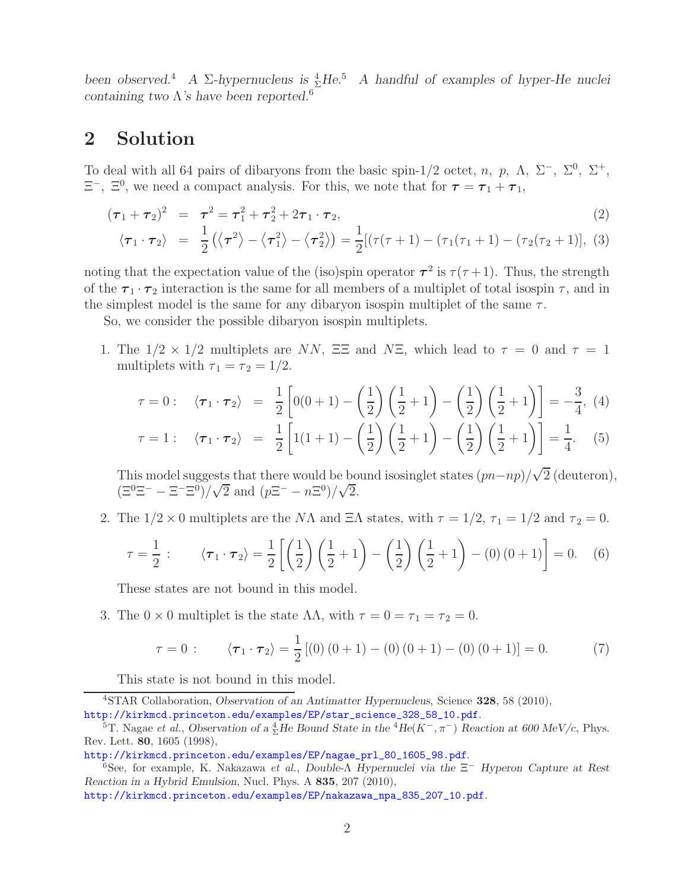*been observed.*<sup>4</sup> *A* Σ*-hypernucleus is*  ${}_{\Sigma}^{4}He^{5}$  *A handful of examples of hyper-He nuclei containing two* Λ*'s have been reported.*<sup>6</sup>

## **2 Solution**

To deal with all 64 pairs of dibaryons from the basic spin-1/2 octet, n, p,  $\Lambda$ ,  $\Sigma^-$ ,  $\Sigma^0$ ,  $\Sigma^+$ ,  $\Xi^-$ ,  $\Xi^0$ , we need a compact analysis. For this, we note that for  $\tau = \tau_1 + \tau_1$ ,

$$
(\tau_1 + \tau_2)^2 = \tau_1^2 + \tau_2^2 + 2\tau_1 \cdot \tau_2, \tag{2}
$$

$$
\langle \boldsymbol{\tau}_1 \cdot \boldsymbol{\tau}_2 \rangle = \frac{1}{2} (\langle \boldsymbol{\tau}^2 \rangle - \langle \boldsymbol{\tau}_1^2 \rangle - \langle \boldsymbol{\tau}_2^2 \rangle) = \frac{1}{2} [(\tau(\tau+1) - (\tau_1(\tau_1+1) - (\tau_2(\tau_2+1))), (3)
$$

noting that the expectation value of the (iso)spin operator  $\tau^2$  is  $\tau(\tau+1)$ . Thus, the strength of the  $\tau_1 \cdot \tau_2$  interaction is the same for all members of a multiplet of total isospin  $\tau$ , and in the simplest model is the same for any dibaryon isospin multiplet of the same  $\tau$ .

So, we consider the possible dibaryon isospin multiplets.

1. The  $1/2 \times 1/2$  multiplets are NN,  $\Xi \Xi$  and NE, which lead to  $\tau = 0$  and  $\tau = 1$ multiplets with  $\tau_1 = \tau_2 = 1/2$ .

$$
\tau = 0: \quad \langle \boldsymbol{\tau}_1 \cdot \boldsymbol{\tau}_2 \rangle = \frac{1}{2} \left[ 0(0+1) - \left( \frac{1}{2} \right) \left( \frac{1}{2} + 1 \right) - \left( \frac{1}{2} \right) \left( \frac{1}{2} + 1 \right) \right] = -\frac{3}{4}, \ (4)
$$

$$
\tau = 1: \quad \langle \boldsymbol{\tau}_1 \cdot \boldsymbol{\tau}_2 \rangle = \frac{1}{2} \left[ 1(1+1) - \left( \frac{1}{2} \right) \left( \frac{1}{2} + 1 \right) - \left( \frac{1}{2} \right) \left( \frac{1}{2} + 1 \right) \right] = \frac{1}{4}. \quad (5)
$$

This model suggests that there would be bound isosinglet states  $(pn-np)/\sqrt{2}$  (deuteron),<br> $(\Xi^{0}\Xi^{-} - \Xi^{-}\Xi^{0})/\sqrt{2}$  and  $(n\Xi^{-} - n\Xi^{0})/\sqrt{2}$  $(\Xi^0 \Xi^- - \Xi^- \Xi^0)/\sqrt{2}$  and  $(p\Xi^- - n\Xi^0)/\sqrt{2}$ .

2. The  $1/2 \times 0$  multiplets are the NA and  $\Xi\Lambda$  states, with  $\tau = 1/2$ ,  $\tau_1 = 1/2$  and  $\tau_2 = 0$ .

$$
\tau = \frac{1}{2} : \qquad \langle \tau_1 \cdot \tau_2 \rangle = \frac{1}{2} \left[ \left( \frac{1}{2} \right) \left( \frac{1}{2} + 1 \right) - \left( \frac{1}{2} \right) \left( \frac{1}{2} + 1 \right) - (0) (0 + 1) \right] = 0. \tag{6}
$$

These states are not bound in this model.

3. The  $0 \times 0$  multiplet is the state  $\Lambda\Lambda$ , with  $\tau = 0 = \tau_1 = \tau_2 = 0$ .

$$
\tau = 0: \qquad \langle \boldsymbol{\tau}_1 \cdot \boldsymbol{\tau}_2 \rangle = \frac{1}{2} \left[ (0) \left( 0 + 1 \right) - (0) \left( 0 + 1 \right) - (0) \left( 0 + 1 \right) \right] = 0. \tag{7}
$$

This state is not bound in this model.

<sup>4</sup>STAR Collaboration, *Observation of an Antimatter Hypernucleus*, Science **328**, 58 (2010), http://kirkmcd.princeton.edu/examples/EP/star\_science\_328\_58\_10.pdf.

<sup>&</sup>lt;sup>5</sup>T. Nagae *et al.*, *Observation of a*  $\frac{4}{2}$ *He Bound State in the* <sup>4</sup>*He*( $K^-$ ,  $\pi^-$ ) *Reaction at 600 MeV/c*, Phys. Rev. Lett. **80**, 1605 (1998),

http://kirkmcd.princeton.edu/examples/EP/nagae\_prl\_80\_1605\_98.pdf.

<sup>6</sup>See, for example, K. Nakazawa *et al.*, *Double-*Λ *Hypernuclei via the* Ξ*<sup>−</sup> Hyperon Capture at Rest Reaction in a Hybrid Emulsion*, Nucl. Phys. A **835**, 207 (2010),

http://kirkmcd.princeton.edu/examples/EP/nakazawa\_npa\_835\_207\_10.pdf.